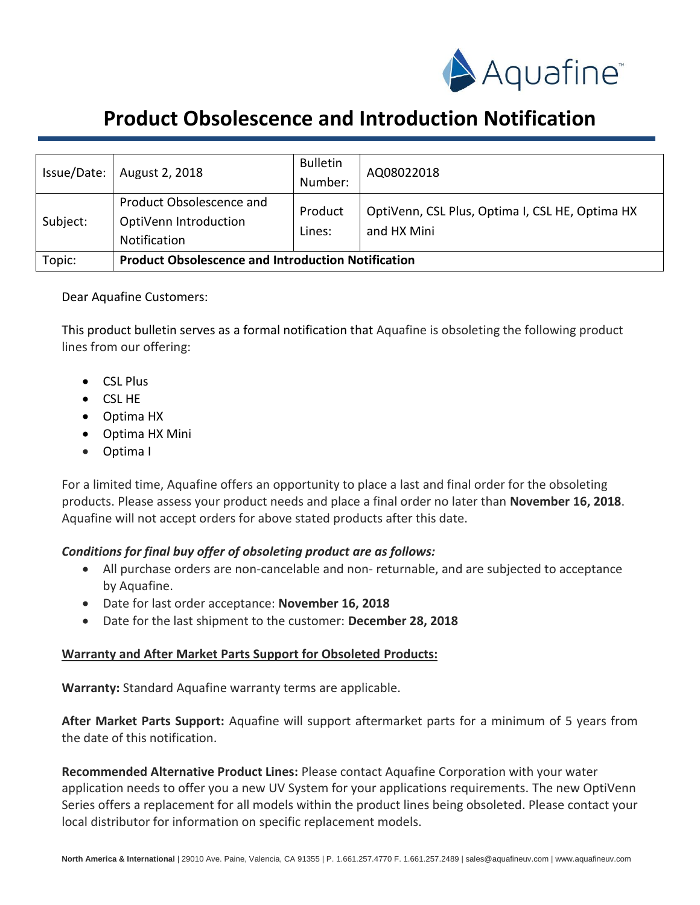

# **Product Obsolescence and Introduction Notification**

| Issue/Date: | August 2, 2018                                                    | <b>Bulletin</b><br>Number: | AQ08022018                                                     |
|-------------|-------------------------------------------------------------------|----------------------------|----------------------------------------------------------------|
| Subject:    | Product Obsolescence and<br>OptiVenn Introduction<br>Notification | Product<br>Lines:          | OptiVenn, CSL Plus, Optima I, CSL HE, Optima HX<br>and HX Mini |
| Topic:      | <b>Product Obsolescence and Introduction Notification</b>         |                            |                                                                |

## Dear Aquafine Customers:

This product bulletin serves as a formal notification that Aquafine is obsoleting the following product lines from our offering:

- CSL Plus
- CSL HE
- Optima HX
- Optima HX Mini
- Optima I

For a limited time, Aquafine offers an opportunity to place a last and final order for the obsoleting products. Please assess your product needs and place a final order no later than **November 16, 2018**. Aquafine will not accept orders for above stated products after this date.

# *Conditions for final buy offer of obsoleting product are as follows:*

- All purchase orders are non-cancelable and non- returnable, and are subjected to acceptance by Aquafine.
- Date for last order acceptance: **November 16, 2018**
- Date for the last shipment to the customer: **December 28, 2018**

#### **Warranty and After Market Parts Support for Obsoleted Products:**

**Warranty:** Standard Aquafine warranty terms are applicable.

**After Market Parts Support:** Aquafine will support aftermarket parts for a minimum of 5 years from the date of this notification.

**Recommended Alternative Product Lines:** Please contact Aquafine Corporation with your water application needs to offer you a new UV System for your applications requirements. The new OptiVenn Series offers a replacement for all models within the product lines being obsoleted. Please contact your local distributor for information on specific replacement models.